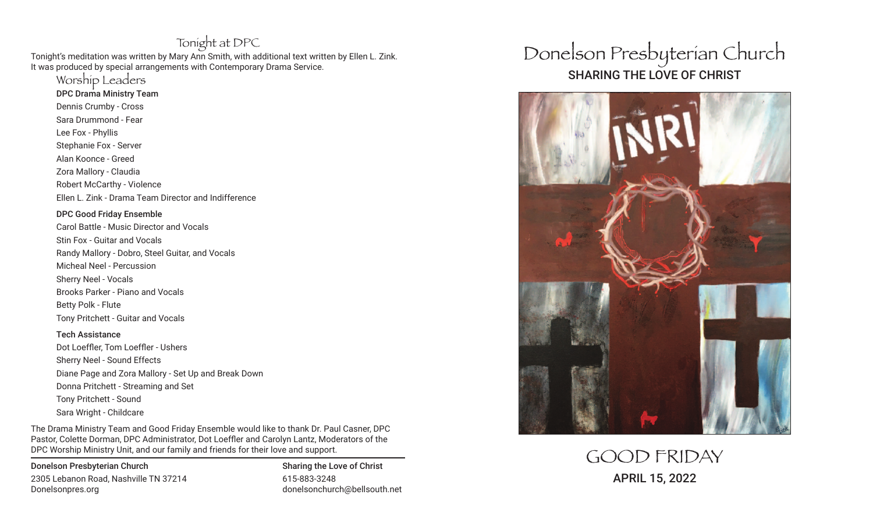## Tonight at DPC

Tonight's meditation was written by Mary Ann Smith, with additional text written by Ellen L. Zink. It was produced by special arrangements with Contemporary Drama Service.

Worship Leaders

DPC Drama Ministry Team

Dennis Crumby - Cross Sara Drummond - Fear Lee Fox - Phyllis Stephanie Fox - Server Alan Koonce - Greed Zora Mallory - Claudia Robert McCarthy - Violence

Ellen L. Zink - Drama Team Director and Indifference

#### DPC Good Friday Ensemble

Carol Battle - Music Director and Vocals Stin Fox - Guitar and Vocals Randy Mallory - Dobro, Steel Guitar, and Vocals Micheal Neel - Percussion Sherry Neel - Vocals Brooks Parker - Piano and Vocals Betty Polk - Flute Tony Pritchett - Guitar and Vocals

Tech Assistance Dot Loeffler, Tom Loeffler - Ushers Sherry Neel - Sound Effects Diane Page and Zora Mallory - Set Up and Break Down Donna Pritchett - Streaming and Set Tony Pritchett - Sound Sara Wright - Childcare

The Drama Ministry Team and Good Friday Ensemble would like to thank Dr. Paul Casner, DPC Pastor, Colette Dorman, DPC Administrator, Dot Loeffler and Carolyn Lantz, Moderators of the DPC Worship Ministry Unit, and our family and friends for their love and support.

Donelson Presbyterian Church Sharing the Love of Christ 2305 Lebanon Road, Nashville TN 37214 615-883-3248 Donelsonpres.org donelsonchurch@bellsouth.net

# Donelson Presbyterian Church SHARING THE LOVE OF CHRIST



GOOD FRIDAY APRIL 15, 2022